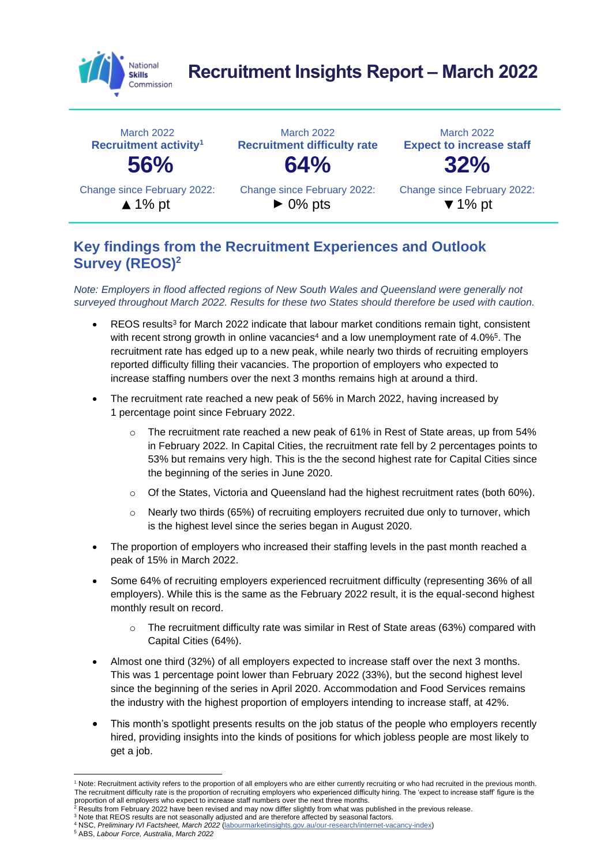

# **Recruitment Insights Report – March 2022**



#### **Key findings from the Recruitment Experiences and Outlook Survey (REOS)<sup>2</sup>**

*Note: Employers in flood affected regions of New South Wales and Queensland were generally not surveyed throughout March 2022. Results for these two States should therefore be used with caution.* 

- REOS results<sup>3</sup> for March 2022 indicate that labour market conditions remain tight, consistent with recent strong growth in online vacancies<sup>4</sup> and a low unemployment rate of 4.0%<sup>5</sup>. The recruitment rate has edged up to a new peak, while nearly two thirds of recruiting employers reported difficulty filling their vacancies. The proportion of employers who expected to increase staffing numbers over the next 3 months remains high at around a third.
- The recruitment rate reached a new peak of 56% in March 2022, having increased by 1 percentage point since February 2022.
	- $\circ$  The recruitment rate reached a new peak of 61% in Rest of State areas, up from 54% in February 2022. In Capital Cities, the recruitment rate fell by 2 percentages points to 53% but remains very high. This is the the second highest rate for Capital Cities since the beginning of the series in June 2020.
	- $\circ$  Of the States, Victoria and Queensland had the highest recruitment rates (both 60%).
	- $\circ$  Nearly two thirds (65%) of recruiting employers recruited due only to turnover, which is the highest level since the series began in August 2020.
- The proportion of employers who increased their staffing levels in the past month reached a peak of 15% in March 2022.
- Some 64% of recruiting employers experienced recruitment difficulty (representing 36% of all employers). While this is the same as the February 2022 result, it is the equal-second highest monthly result on record.
	- o The recruitment difficulty rate was similar in Rest of State areas (63%) compared with Capital Cities (64%).
- Almost one third (32%) of all employers expected to increase staff over the next 3 months. This was 1 percentage point lower than February 2022 (33%), but the second highest level since the beginning of the series in April 2020. Accommodation and Food Services remains the industry with the highest proportion of employers intending to increase staff, at 42%.
- This month's spotlight presents results on the job status of the people who employers recently hired, providing insights into the kinds of positions for which jobless people are most likely to get a job.

<sup>4</sup> NSC, *Preliminary IVI Factsheet, March 2022* [\(labourmarketinsights.gov.au/our-research/internet-vacancy-index\)](https://labourmarketinsights.gov.au/our-research/internet-vacancy-index)

<sup>1</sup> Note: Recruitment activity refers to the proportion of all employers who are either currently recruiting or who had recruited in the previous month. The recruitment difficulty rate is the proportion of recruiting employers who experienced difficulty hiring. The 'expect to increase staff' figure is the proportion of all employers who expect to increase staff numbers over the next three months.<br><sup>2</sup> Results from February 2022 have been revised and may now differ slightly from what was published in the previous release.

<sup>3</sup> Note that REOS results are not seasonally adjusted and are therefore affected by seasonal factors.

<sup>5</sup> ABS, *Labour Force, Australia*, *March 2022*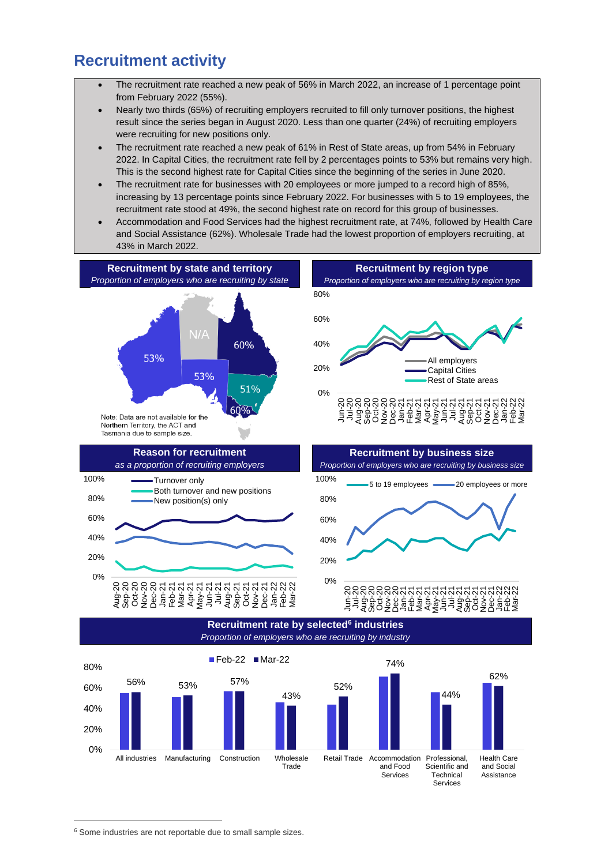#### **Recruitment activity**

- The recruitment rate reached a new peak of 56% in March 2022, an increase of 1 percentage point from February 2022 (55%).
- Nearly two thirds (65%) of recruiting employers recruited to fill only turnover positions, the highest result since the series began in August 2020. Less than one quarter (24%) of recruiting employers were recruiting for new positions only.
- The recruitment rate reached a new peak of 61% in Rest of State areas, up from 54% in February 2022. In Capital Cities, the recruitment rate fell by 2 percentages points to 53% but remains very high. This is the second highest rate for Capital Cities since the beginning of the series in June 2020.
- The recruitment rate for businesses with 20 employees or more jumped to a record high of 85%, increasing by 13 percentage points since February 2022. For businesses with 5 to 19 employees, the recruitment rate stood at 49%, the second highest rate on record for this group of businesses.
- Accommodation and Food Services had the highest recruitment rate, at 74%, followed by Health Care and Social Assistance (62%). Wholesale Trade had the lowest proportion of employers recruiting, at 43% in March 2022.





0% 20% 40% 60%

#### ลิลล์ลีลล์ล์ลีลล์ล์ลีลล์ล์ล์ล์ล์<br>รามอื่น<br>ลัลล์ลีลล์ลีลล์ลีลล์ลีลล์ลีลีล Jan-22 Feb-22 Mar-22

**Recruitment rate by selected<sup>6</sup> industries** *Proportion of employers who are recruiting by industry*



<sup>6</sup> Some industries are not reportable due to small sample sizes.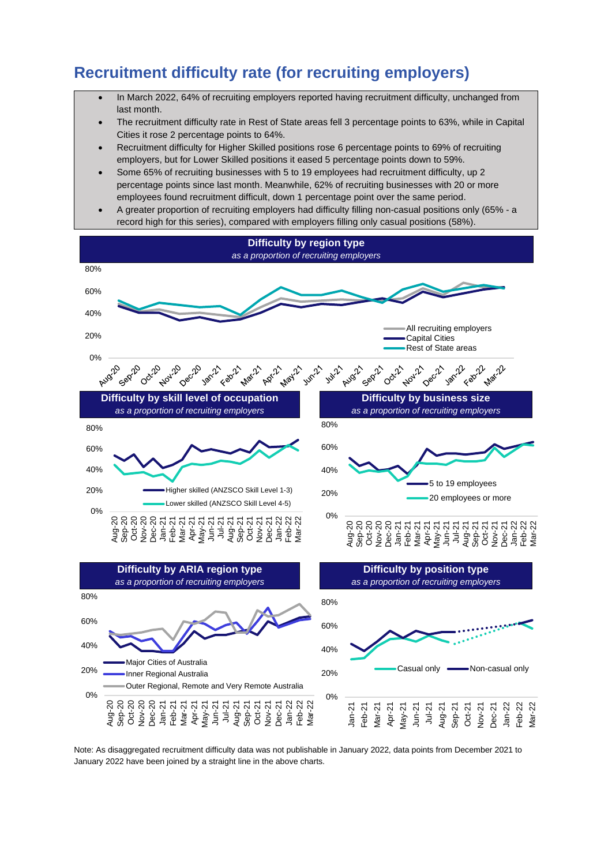# **Recruitment difficulty rate (for recruiting employers)**

- In March 2022, 64% of recruiting employers reported having recruitment difficulty, unchanged from last month.
- The recruitment difficulty rate in Rest of State areas fell 3 percentage points to 63%, while in Capital Cities it rose 2 percentage points to 64%.
- Recruitment difficulty for Higher Skilled positions rose 6 percentage points to 69% of recruiting employers, but for Lower Skilled positions it eased 5 percentage points down to 59%.
- Some 65% of recruiting businesses with 5 to 19 employees had recruitment difficulty, up 2 percentage points since last month. Meanwhile, 62% of recruiting businesses with 20 or more employees found recruitment difficult, down 1 percentage point over the same period.
- A greater proportion of recruiting employers had difficulty filling non-casual positions only (65% a record high for this series), compared with employers filling only casual positions (58%).



Note: As disaggregated recruitment difficulty data was not publishable in January 2022, data points from December 2021 to January 2022 have been joined by a straight line in the above charts.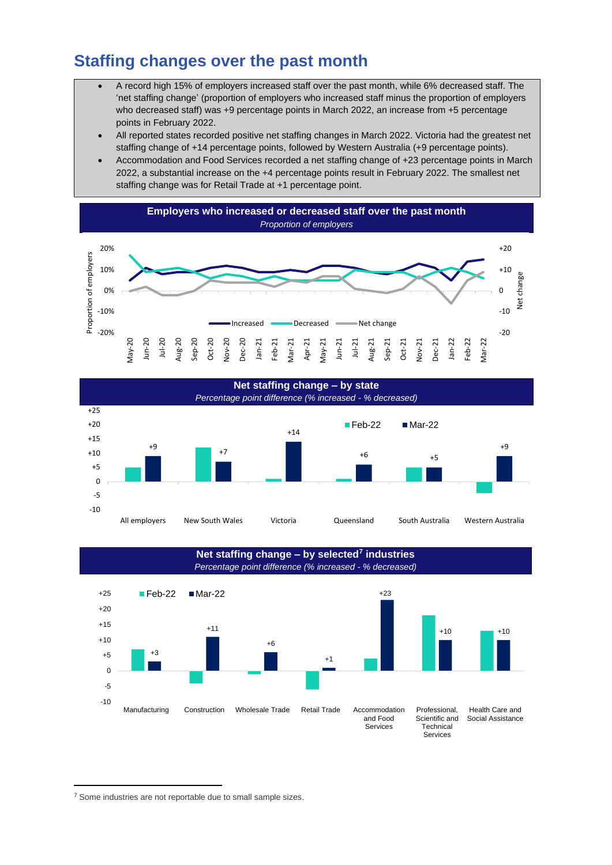# **Staffing changes over the past month**

- A record high 15% of employers increased staff over the past month, while 6% decreased staff. The 'net staffing change' (proportion of employers who increased staff minus the proportion of employers who decreased staff) was +9 percentage points in March 2022, an increase from +5 percentage points in February 2022.
- All reported states recorded positive net staffing changes in March 2022. Victoria had the greatest net staffing change of +14 percentage points, followed by Western Australia (+9 percentage points).
- Accommodation and Food Services recorded a net staffing change of +23 percentage points in March 2022, a substantial increase on the +4 percentage points result in February 2022. The smallest net staffing change was for Retail Trade at +1 percentage point.







<sup>&</sup>lt;sup>7</sup> Some industries are not reportable due to small sample sizes.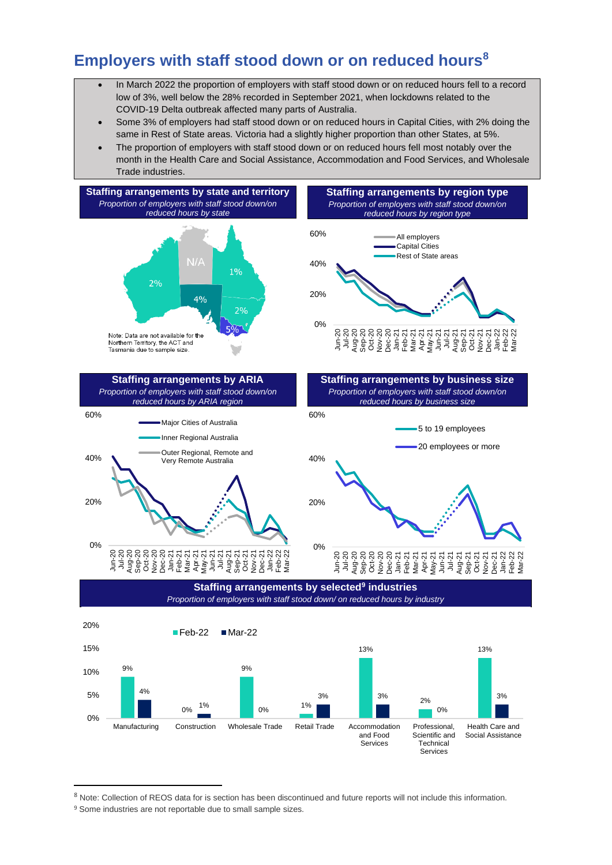## **Employers with staff stood down or on reduced hours<sup>8</sup>**

- In March 2022 the proportion of employers with staff stood down or on reduced hours fell to a record low of 3%, well below the 28% recorded in September 2021, when lockdowns related to the COVID-19 Delta outbreak affected many parts of Australia.
- Some 3% of employers had staff stood down or on reduced hours in Capital Cities, with 2% doing the same in Rest of State areas. Victoria had a slightly higher proportion than other States, at 5%.
- The proportion of employers with staff stood down or on reduced hours fell most notably over the month in the Health Care and Social Assistance, Accommodation and Food Services, and Wholesale Trade industries.



Services

<sup>8</sup> Note: Collection of REOS data for is section has been discontinued and future reports will not include this information.

<sup>&</sup>lt;sup>9</sup> Some industries are not reportable due to small sample sizes.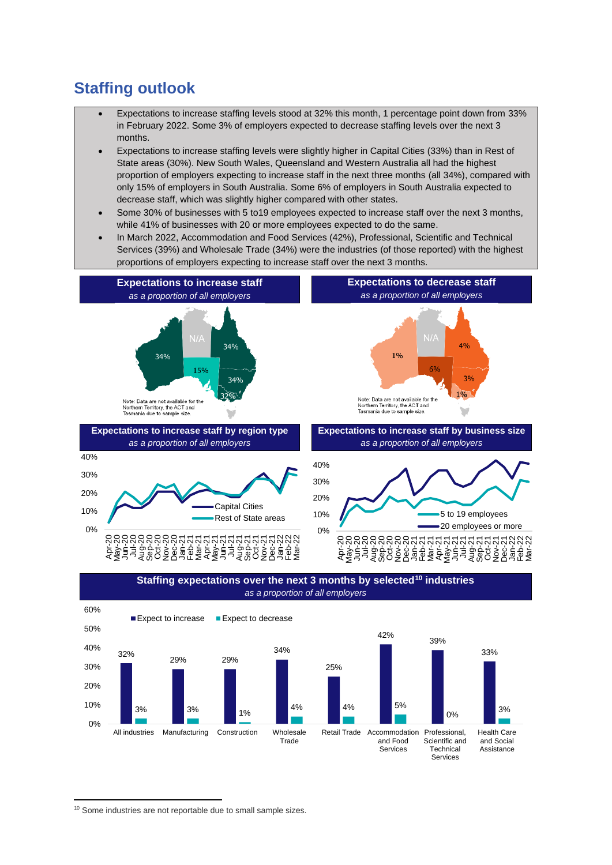# **Staffing outlook**

- Expectations to increase staffing levels stood at 32% this month, 1 percentage point down from 33% in February 2022. Some 3% of employers expected to decrease staffing levels over the next 3 months.
- Expectations to increase staffing levels were slightly higher in Capital Cities (33%) than in Rest of State areas (30%). New South Wales, Queensland and Western Australia all had the highest proportion of employers expecting to increase staff in the next three months (all 34%), compared with only 15% of employers in South Australia. Some 6% of employers in South Australia expected to decrease staff, which was slightly higher compared with other states.
- Some 30% of businesses with 5 to19 employees expected to increase staff over the next 3 months, while 41% of businesses with 20 or more employees expected to do the same.
- In March 2022, Accommodation and Food Services (42%), Professional, Scientific and Technical Services (39%) and Wholesale Trade (34%) were the industries (of those reported) with the highest proportions of employers expecting to increase staff over the next 3 months.







<sup>&</sup>lt;sup>10</sup> Some industries are not reportable due to small sample sizes.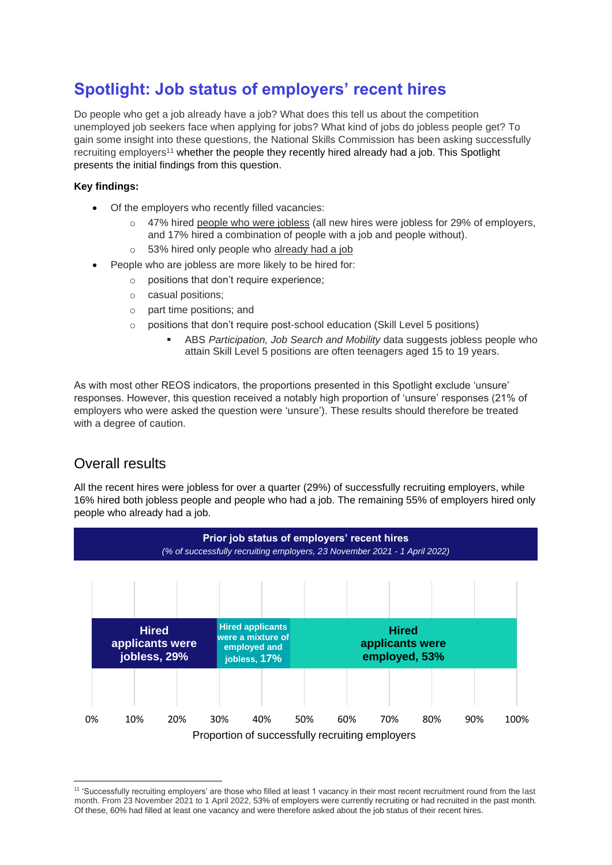# **Spotlight: Job status of employers' recent hires**

Do people who get a job already have a job? What does this tell us about the competition unemployed job seekers face when applying for jobs? What kind of jobs do jobless people get? To gain some insight into these questions, the National Skills Commission has been asking successfully recruiting employers<sup>11</sup> whether the people they recently hired already had a job. This Spotlight presents the initial findings from this question.

#### **Key findings:**

- Of the employers who recently filled vacancies:
	- $\circ$  47% hired people who were jobless (all new hires were jobless for 29% of employers, and 17% hired a combination of people with a job and people without).
	- o 53% hired only people who already had a job
- People who are jobless are more likely to be hired for:
	- o positions that don't require experience;
	- o casual positions;
	- o part time positions; and
	- o positions that don't require post-school education (Skill Level 5 positions)
		- ABS *Participation, Job Search and Mobility* data suggests jobless people who attain Skill Level 5 positions are often teenagers aged 15 to 19 years.

As with most other REOS indicators, the proportions presented in this Spotlight exclude 'unsure' responses. However, this question received a notably high proportion of 'unsure' responses (21% of employers who were asked the question were 'unsure'). These results should therefore be treated with a degree of caution.

#### Overall results

All the recent hires were jobless for over a quarter (29%) of successfully recruiting employers, while 16% hired both jobless people and people who had a job. The remaining 55% of employers hired only people who already had a job.



<sup>&</sup>lt;sup>11</sup> 'Successfully recruiting employers' are those who filled at least 1 vacancy in their most recent recruitment round from the last month. From 23 November 2021 to 1 April 2022, 53% of employers were currently recruiting or had recruited in the past month. Of these, 60% had filled at least one vacancy and were therefore asked about the job status of their recent hires.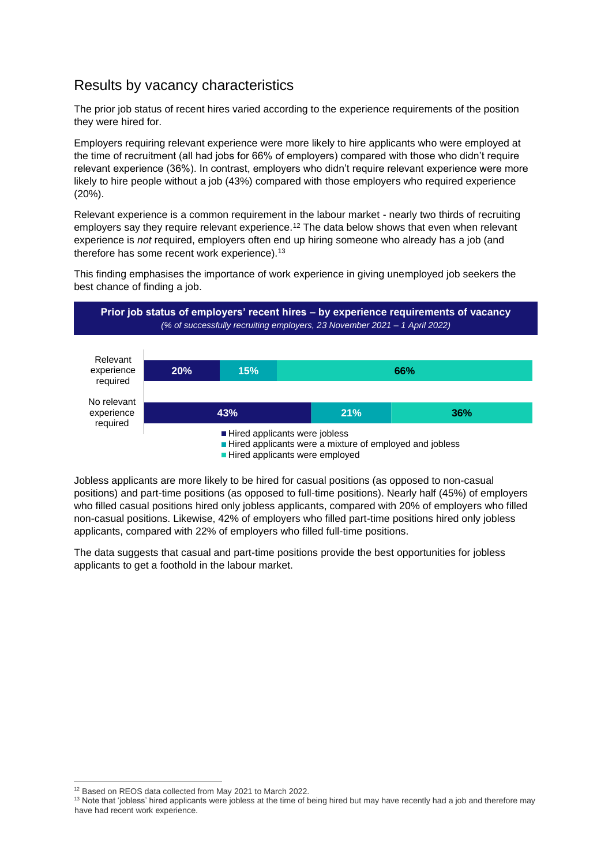#### Results by vacancy characteristics

The prior job status of recent hires varied according to the experience requirements of the position they were hired for.

Employers requiring relevant experience were more likely to hire applicants who were employed at the time of recruitment (all had jobs for 66% of employers) compared with those who didn't require relevant experience (36%). In contrast, employers who didn't require relevant experience were more likely to hire people without a job (43%) compared with those employers who required experience (20%).

Relevant experience is a common requirement in the labour market - nearly two thirds of recruiting employers say they require relevant experience.<sup>12</sup> The data below shows that even when relevant experience is *not* required, employers often end up hiring someone who already has a job (and therefore has some recent work experience).<sup>13</sup>

This finding emphasises the importance of work experience in giving unemployed job seekers the best chance of finding a job.



Jobless applicants are more likely to be hired for casual positions (as opposed to non-casual positions) and part-time positions (as opposed to full-time positions). Nearly half (45%) of employers who filled casual positions hired only jobless applicants, compared with 20% of employers who filled non-casual positions. Likewise, 42% of employers who filled part-time positions hired only jobless applicants, compared with 22% of employers who filled full-time positions.

The data suggests that casual and part-time positions provide the best opportunities for jobless applicants to get a foothold in the labour market.

<sup>&</sup>lt;sup>12</sup> Based on REOS data collected from May 2021 to March 2022.

<sup>&</sup>lt;sup>13</sup> Note that 'jobless' hired applicants were jobless at the time of being hired but may have recently had a job and therefore may have had recent work experience.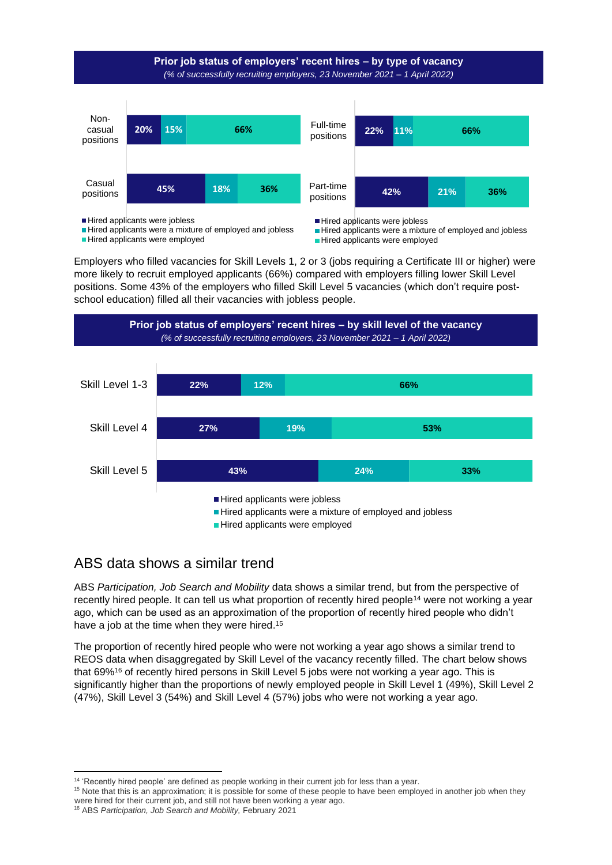

Employers who filled vacancies for Skill Levels 1, 2 or 3 (jobs requiring a Certificate III or higher) were more likely to recruit employed applicants (66%) compared with employers filling lower Skill Level positions. Some 43% of the employers who filled Skill Level 5 vacancies (which don't require postschool education) filled all their vacancies with jobless people.



#### ABS data shows a similar trend

ABS *Participation, Job Search and Mobility* data shows a similar trend, but from the perspective of recently hired people. It can tell us what proportion of recently hired people<sup>14</sup> were not working a year ago, which can be used as an approximation of the proportion of recently hired people who didn't have a job at the time when they were hired.<sup>15</sup>

The proportion of recently hired people who were not working a year ago shows a similar trend to REOS data when disaggregated by Skill Level of the vacancy recently filled. The chart below shows that 69%<sup>16</sup> of recently hired persons in Skill Level 5 jobs were not working a year ago. This is significantly higher than the proportions of newly employed people in Skill Level 1 (49%), Skill Level 2 (47%), Skill Level 3 (54%) and Skill Level 4 (57%) jobs who were not working a year ago.

<sup>&</sup>lt;sup>14</sup> 'Recently hired people' are defined as people working in their current job for less than a year.

<sup>15</sup> Note that this is an approximation; it is possible for some of these people to have been employed in another job when they were hired for their current job, and still not have been working a year ago.

<sup>16</sup> ABS *Participation, Job Search and Mobility,* February 2021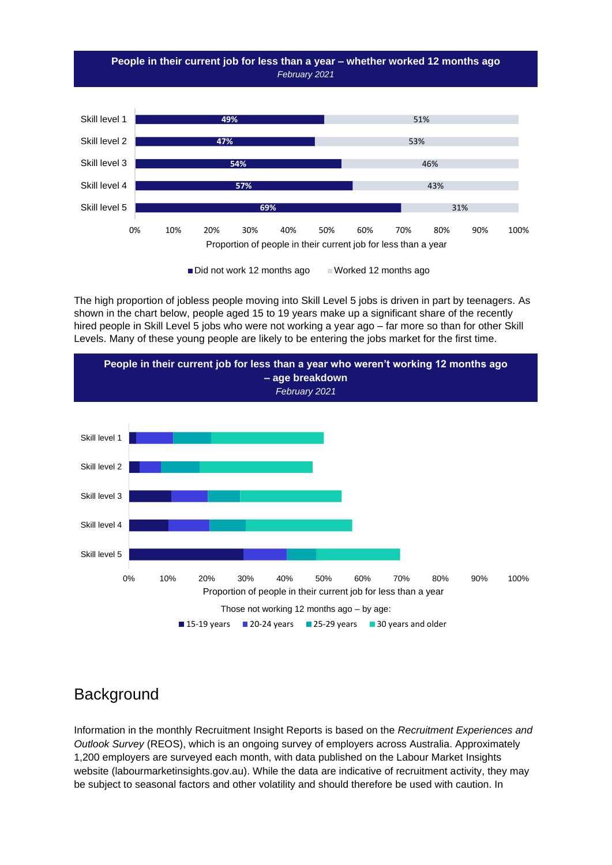

The high proportion of jobless people moving into Skill Level 5 jobs is driven in part by teenagers. As shown in the chart below, people aged 15 to 19 years make up a significant share of the recently hired people in Skill Level 5 jobs who were not working a year ago – far more so than for other Skill Levels. Many of these young people are likely to be entering the jobs market for the first time.



#### **Background**

Information in the monthly Recruitment Insight Reports is based on the *Recruitment Experiences and Outlook Survey* (REOS), which is an ongoing survey of employers across Australia. Approximately 1,200 employers are surveyed each month, with data published on the Labour Market Insights website (labourmarketinsights.gov.au). While the data are indicative of recruitment activity, they may be subject to seasonal factors and other volatility and should therefore be used with caution. In